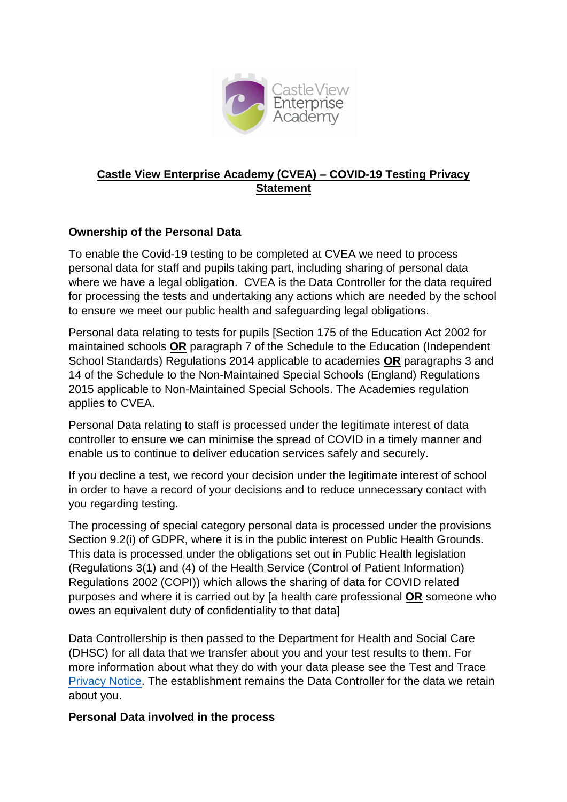

### **Castle View Enterprise Academy (CVEA) – COVID-19 Testing Privacy Statement**

## **Ownership of the Personal Data**

To enable the Covid-19 testing to be completed at CVEA we need to process personal data for staff and pupils taking part, including sharing of personal data where we have a legal obligation. CVEA is the Data Controller for the data required for processing the tests and undertaking any actions which are needed by the school to ensure we meet our public health and safeguarding legal obligations.

Personal data relating to tests for pupils [Section 175 of the Education Act 2002 for maintained schools **OR** paragraph 7 of the Schedule to the Education (Independent School Standards) Regulations 2014 applicable to academies **OR** paragraphs 3 and 14 of the Schedule to the Non-Maintained Special Schools (England) Regulations 2015 applicable to Non-Maintained Special Schools. The Academies regulation applies to CVEA.

Personal Data relating to staff is processed under the legitimate interest of data controller to ensure we can minimise the spread of COVID in a timely manner and enable us to continue to deliver education services safely and securely.

If you decline a test, we record your decision under the legitimate interest of school in order to have a record of your decisions and to reduce unnecessary contact with you regarding testing.

The processing of special category personal data is processed under the provisions Section 9.2(i) of GDPR, where it is in the public interest on Public Health Grounds. This data is processed under the obligations set out in Public Health legislation (Regulations 3(1) and (4) of the Health Service (Control of Patient Information) Regulations 2002 (COPI)) which allows the sharing of data for COVID related purposes and where it is carried out by [a health care professional **OR** someone who owes an equivalent duty of confidentiality to that data]

Data Controllership is then passed to the Department for Health and Social Care (DHSC) for all data that we transfer about you and your test results to them. For more information about what they do with your data please see the Test and Trace [Privacy Notice.](https://contact-tracing.phe.gov.uk/help/privacy-notice) The establishment remains the Data Controller for the data we retain about you.

#### **Personal Data involved in the process**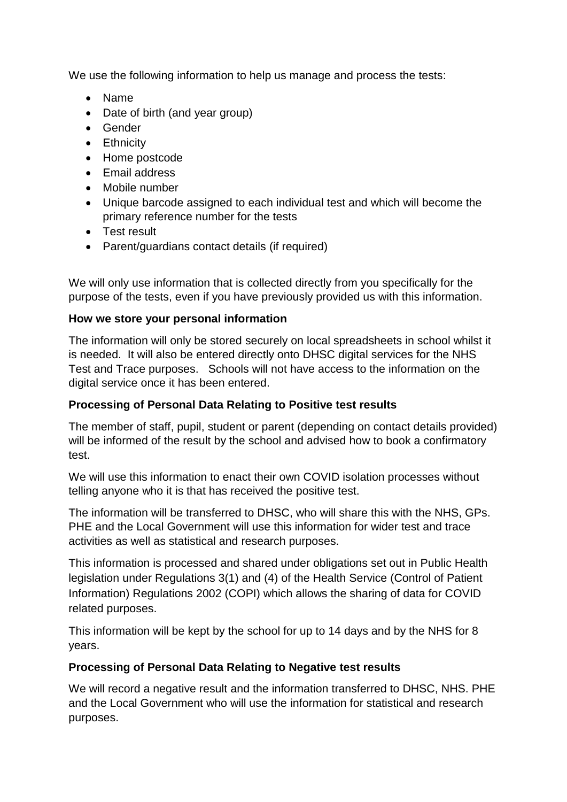We use the following information to help us manage and process the tests:

- Name
- Date of birth (and year group)
- Gender
- **•** Ethnicity
- Home postcode
- Email address
- Mobile number
- Unique barcode assigned to each individual test and which will become the primary reference number for the tests
- Test result
- Parent/guardians contact details (if required)

We will only use information that is collected directly from you specifically for the purpose of the tests, even if you have previously provided us with this information.

## **How we store your personal information**

The information will only be stored securely on local spreadsheets in school whilst it is needed. It will also be entered directly onto DHSC digital services for the NHS Test and Trace purposes. Schools will not have access to the information on the digital service once it has been entered.

# **Processing of Personal Data Relating to Positive test results**

The member of staff, pupil, student or parent (depending on contact details provided) will be informed of the result by the school and advised how to book a confirmatory test.

We will use this information to enact their own COVID isolation processes without telling anyone who it is that has received the positive test.

The information will be transferred to DHSC, who will share this with the NHS, GPs. PHE and the Local Government will use this information for wider test and trace activities as well as statistical and research purposes.

This information is processed and shared under obligations set out in Public Health legislation under Regulations 3(1) and (4) of the Health Service (Control of Patient Information) Regulations 2002 (COPI) which allows the sharing of data for COVID related purposes.

This information will be kept by the school for up to 14 days and by the NHS for 8 years.

# **Processing of Personal Data Relating to Negative test results**

We will record a negative result and the information transferred to DHSC, NHS. PHE and the Local Government who will use the information for statistical and research purposes.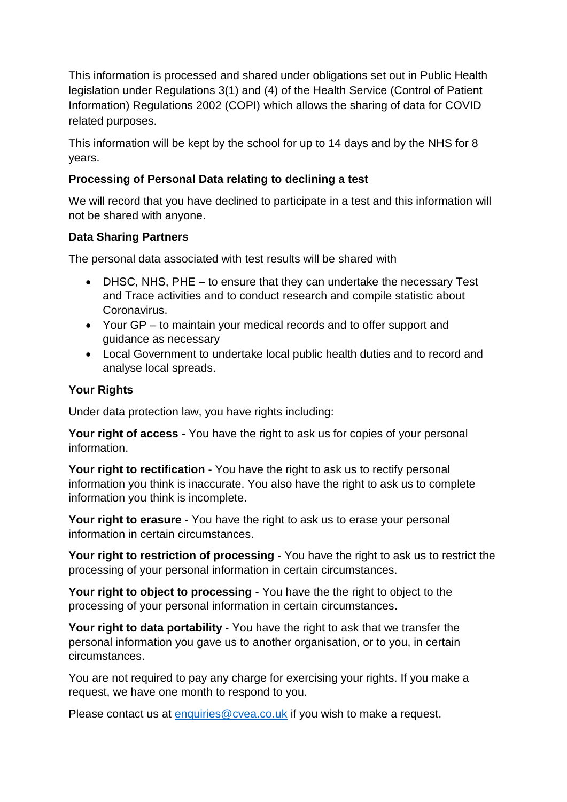This information is processed and shared under obligations set out in Public Health legislation under Regulations 3(1) and (4) of the Health Service (Control of Patient Information) Regulations 2002 (COPI) which allows the sharing of data for COVID related purposes.

This information will be kept by the school for up to 14 days and by the NHS for 8 years.

## **Processing of Personal Data relating to declining a test**

We will record that you have declined to participate in a test and this information will not be shared with anyone.

## **Data Sharing Partners**

The personal data associated with test results will be shared with

- DHSC, NHS, PHE to ensure that they can undertake the necessary Test and Trace activities and to conduct research and compile statistic about Coronavirus.
- Your GP to maintain your medical records and to offer support and guidance as necessary
- Local Government to undertake local public health duties and to record and analyse local spreads.

## **Your Rights**

Under data protection law, you have rights including:

**Your right of access** - You have the right to ask us for copies of your personal information.

**Your right to rectification** - You have the right to ask us to rectify personal information you think is inaccurate. You also have the right to ask us to complete information you think is incomplete.

**Your right to erasure** - You have the right to ask us to erase your personal information in certain circumstances.

**Your right to restriction of processing** - You have the right to ask us to restrict the processing of your personal information in certain circumstances.

**Your right to object to processing** - You have the the right to object to the processing of your personal information in certain circumstances.

**Your right to data portability** - You have the right to ask that we transfer the personal information you gave us to another organisation, or to you, in certain circumstances.

You are not required to pay any charge for exercising your rights. If you make a request, we have one month to respond to you.

Please contact us at [enquiries@cvea.co.uk](mailto:enquiries@cvea.co.uk) if you wish to make a request.